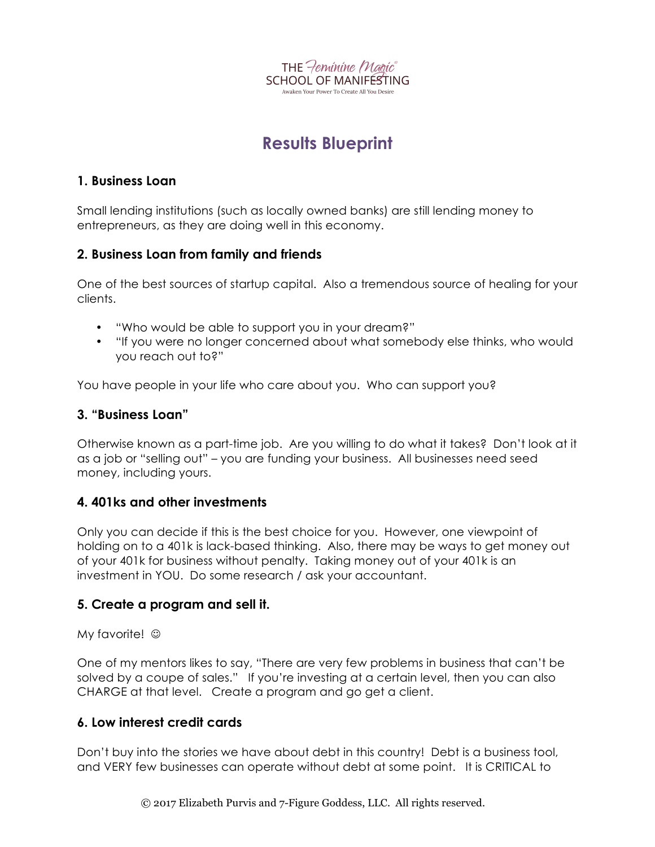

# **Results Blueprint**

#### **1. Business Loan**

Small lending institutions (such as locally owned banks) are still lending money to entrepreneurs, as they are doing well in this economy.

# **2. Business Loan from family and friends**

One of the best sources of startup capital. Also a tremendous source of healing for your clients.

- "Who would be able to support you in your dream?"
- "If you were no longer concerned about what somebody else thinks, who would you reach out to?"

You have people in your life who care about you. Who can support you?

#### **3. "Business Loan"**

Otherwise known as a part-time job. Are you willing to do what it takes? Don't look at it as a job or "selling out" – you are funding your business. All businesses need seed money, including yours.

# **4. 401ks and other investments**

Only you can decide if this is the best choice for you. However, one viewpoint of holding on to a 401k is lack-based thinking. Also, there may be ways to get money out of your 401k for business without penalty. Taking money out of your 401k is an investment in YOU. Do some research / ask your accountant.

# **5. Create a program and sell it.**

My favorite!  $\odot$ 

One of my mentors likes to say, "There are very few problems in business that can't be solved by a coupe of sales." If you're investing at a certain level, then you can also CHARGE at that level. Create a program and go get a client.

# **6. Low interest credit cards**

Don't buy into the stories we have about debt in this country! Debt is a business tool, and VERY few businesses can operate without debt at some point. It is CRITICAL to